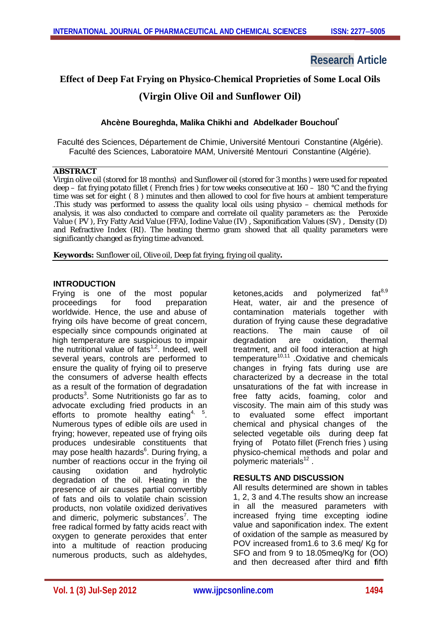# **Research Article**

## **Effect of Deep Fat Frying on Physico-Chemical Proprieties of Some Local Oils**

## **(Virgin Olive Oil and Sunflower Oil)**

## **Ahcène Boureghda, Malika Chikhi and Abdelkader Bouchoul\***

Faculté des Sciences, Département de Chimie, Université Mentouri Constantine (Algérie). Faculté des Sciences, Laboratoire MAM, Université Mentouri Constantine (Algérie).

#### **ABSTRACT**

Virgin olive oil (stored for 18 months) and Sunflower oil (stored for 3 months ) were used for repeated deep – fat frying potato fillet ( French fries ) for tow weeks consecutive at 160 – 180 °C and the frying time was set for eight ( 8 ) minutes and then allowed to cool for five hours at ambient temperature .This study was performed to assess the quality local oils using physico – chemical methods for analysis, it was also conducted to compare and correlate oil quality parameters as: the Peroxide Value ( PV ), Fry Fatty Acid Value (FFA), Iodine Value (IV) , Saponification Values (SV) , Density (D) and Refractive Index (RI). The heating thermo gram showed that all quality parameters were significantly changed as frying time advanced.

**Keywords:** Sunflower oil, Olive oil, Deep fat frying, frying oil quality**.**

## **INTRODUCTION**

Frying is one of the most popular proceedings for food preparation worldwide. Hence, the use and abuse of frying oils have become of great concern, especially since compounds originated at high temperature are suspicious to impair the nutritional value of fats<sup>1,2</sup>. Indeed, well several years, controls are performed to ensure the quality of frying oil to preserve the consumers of adverse health effects as a result of the formation of degradation products<sup>3</sup>. Some Nutritionists go far as to advocate excluding fried products in an efforts to promote healthy eating<sup>4, 5</sup>. Numerous types of edible oils are used in frying; however, repeated use of frying oils produces undesirable constituents that may pose health hazards<sup>6</sup>. During frying, a number of reactions occur in the frying oil causing oxidation and hydrolytic degradation of the oil. Heating in the presence of air causes partial convertibly of fats and oils to volatile chain scission products, non volatile oxidized derivatives and dimeric, polymeric substances<sup>7</sup>. The free radical formed by fatty acids react with oxygen to generate peroxides that enter into a multitude of reaction producing numerous products, such as aldehydes,

ketones,acids and polymerized fat $^{8,9}$ Heat, water, air and the presence of contamination materials together with duration of frying cause these degradative reactions. The main cause of oil degradation are oxidation, thermal treatment, and oil food interaction at high temperature<sup>10,11</sup> .Oxidative and chemicals changes in frying fats during use are characterized by a decrease in the total unsaturations of the fat with increase in free fatty acids, foaming, color and viscosity. The main aim of this study was to evaluated some effect important chemical and physical changes of the selected vegetable oils during deep fat frying of Potato fillet (French fries ) using physico-chemical methods and polar and polymeric materials<sup>12</sup>.

## **RESULTS AND DISCUSSION**

All results determined are shown in tables 1, 2, 3 and 4.The results show an increase in all the measured parameters with increased frying time excepting iodine value and saponification index. The extent of oxidation of the sample as measured by POV increased from1.6 to 3.6 meq/ Kg for SFO and from 9 to 18.05meq/Kg for (OO) and then decreased after third and **f**ifth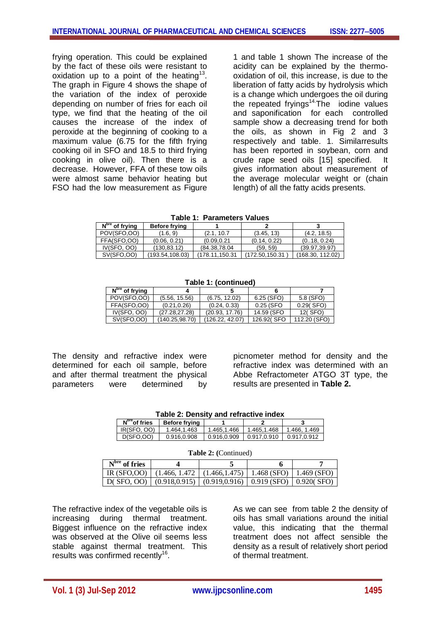frying operation. This could be explained by the fact of these oils were resistant to oxidation up to a point of the heating<sup>13</sup>. The graph in Figure 4 shows the shape of the variation of the index of peroxide depending on number of fries for each oil type, we find that the heating of the oil causes the increase of the index of peroxide at the beginning of cooking to a maximum value (6.75 for the fifth frying cooking oil in SFO and 18.5 to third frying cooking in olive oil). Then there is a decrease. However, FFA of these tow oils were almost same behavior heating but FSO had the low measurement as Figure

1 and table 1 shown The increase of the acidity can be explained by the thermooxidation of oil, this increase, is due to the liberation of fatty acids by hydrolysis which is a change which undergoes the oil during the repeated fryings<sup>14.</sup> The iodine values and saponification for each controlled sample show a decreasing trend for both the oils, as shown in Fig 2 and 3 respectively and table. 1. Similarresults has been reported in soybean, corn and crude rape seed oils [15] specified. It gives information about measurement of the average molecular weight or (chain length) of all the fatty acids presents.

**Table 1: Parameters Values**

| $Nbre$ of frying | <b>Before frying</b> |                |                |                  |
|------------------|----------------------|----------------|----------------|------------------|
| POV(SFO,OO)      | (1.6, 9)             | (2.1, 10.7)    | (3.45, 13)     | (4.2, 18.5)      |
| FFA(SFO,OO)      | (0.06, 0.21)         | (0.09, 0.21)   | (0.14, 0.22)   | (0.18, 0.24)     |
| IV(SFO, OO)      | (130,83.12)          | (84.38,78.04)  | (59, 59)       | (39.97, 39.97)   |
| SV(SFO, OO)      | (193.54,108.03)      | (178.11.150.31 | (172.50,150.31 | (168.30, 112.02) |

**Table 1: (continued)**

| $Nbre$ of frying  |                |                 |              |              |
|-------------------|----------------|-----------------|--------------|--------------|
| POV(SFO.OO)       | (5.56, 15.56)  | (6.75, 12.02)   | $6.25$ (SFO) | 5.8 (SFO)    |
| FFA(SFO.OO)       | (0.21.0.26)    | (0.24, 0.33)    | 0.25 (SFO    | $0.29$ (SFO) |
| IV(SFO, OO)       | (27.28.27.28)  | (20.93, 17.76)  | 14.59 (SFO   | 12(SFO)      |
| <b>SV(SFO,OO)</b> | (140.25.98.70) | (126.22, 42.07) | 126.92(SFO   | 112.20 (SFO) |

The density and refractive index were determined for each oil sample, before and after thermal treatment the physical parameters were determined by picnometer method for density and the refractive index was determined with an Abbe Refractometer ATGO 3T type, the results are presented in **Table 2.**

**Table 2: Density and refractive index**

| N <sup>bre</sup> of fries | <b>Before frying</b> |             |             |              |
|---------------------------|----------------------|-------------|-------------|--------------|
| IR(SFO, OO)               | 1.464.1.463          | 1.465.1.466 | 1.465.1.468 | 1.466, 1.469 |
| D(SFO.OO)                 | 0.916.0.908          | 0.916.0.909 | 0.917.0.910 | 0.917.0.912  |

| <b>Table 2:</b> (Continued) |  |                                                                    |  |  |
|-----------------------------|--|--------------------------------------------------------------------|--|--|
| $Nbre$ of fries             |  |                                                                    |  |  |
| IR $(SFO.OO)$               |  | $(1.466, 1.472 \mid (1.466, 1.475) \mid 1.468$ (SFO)   1.469 (SFO) |  |  |
|                             |  | D(SFO, OO) $(0.918, 0.915) (0.919, 0.916) (0.919$ (SFO) 0.920(SFO) |  |  |

The refractive index of the vegetable oils is increasing during thermal treatment. Biggest influence on the refractive index was observed at the Olive oil seems less stable against thermal treatment. This results was confirmed recently $16$ .

As we can see from table 2 the density of oils has small variations around the initial value, this indicating that the thermal treatment does not affect sensible the density as a result of relatively short period of thermal treatment.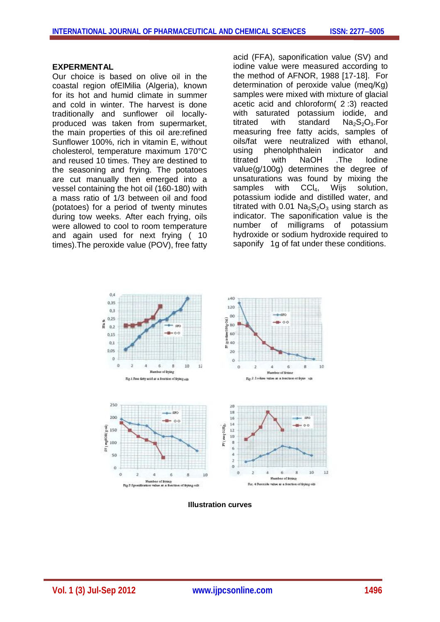#### **EXPERMENTAL**

Our choice is based on olive oil in the coastal region ofElMilia (Algeria), known for its hot and humid climate in summer and cold in winter. The harvest is done traditionally and sunflower oil locallyproduced was taken from supermarket, the main properties of this oil are:refined Sunflower 100%, rich in vitamin E, without cholesterol, temperature maximum 170°C and reused 10 times. They are destined to the seasoning and frying. The potatoes are cut manually then emerged into a vessel containing the hot oil (160-180) with a mass ratio of 1/3 between oil and food (potatoes) for a period of twenty minutes during tow weeks. After each frying, oils were allowed to cool to room temperature and again used for next frying ( 10 times).The peroxide value (POV), free fatty acid (FFA), saponification value (SV) and iodine value were measured according to the method of AFNOR, 1988 [17-18]. For determination of peroxide value (meq/Kg) samples were mixed with mixture of glacial acetic acid and chloroform( 2 :3) reacted with saturated potassium iodide, and titrated with standard  $Na<sub>2</sub>S<sub>2</sub>O<sub>3</sub>$ . For measuring free fatty acids, samples of oils/fat were neutralized with ethanol, using phenolphthalein indicator and titrated with NaOH .The Iodine value(g/100g) determines the degree of unsaturations was found by mixing the samples with  $CCI<sub>4</sub>$ , Wijs solution, potassium iodide and distilled water, and titrated with 0.01  $Na<sub>2</sub>S<sub>2</sub>O<sub>3</sub>$  using starch as indicator. The saponification value is the number of milligrams of potassium hydroxide or sodium hydroxide required to saponify 1g of fat under these conditions.



**Illustration curves**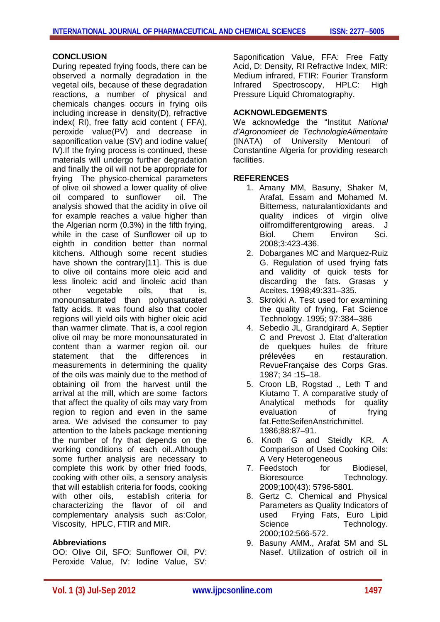#### **CONCLUSION**

During repeated frying foods, there can be observed a normally degradation in the vegetal oils, because of these degradation reactions, a number of physical and chemicals changes occurs in frying oils including increase in density(D), refractive index( RI), free fatty acid content ( FFA), peroxide value(PV) and decrease in saponification value (SV) and iodine value( IV).If the frying process is continued, these materials will undergo further degradation and finally the oil will not be appropriate for frying The physico-chemical parameters of olive oil showed a lower quality of olive oil compared to sunflower oil. The analysis showed that the acidity in olive oil for example reaches a value higher than the Algerian norm (0.3%) in the fifth frying, while in the case of Sunflower oil up to eighth in condition better than normal kitchens. Although some recent studies have shown the contrary[11]. This is due to olive oil contains more oleic acid and less linoleic acid and linoleic acid than other vegetable oils, that is, monounsaturated than polyunsaturated fatty acids. It was found also that cooler regions will yield oils with higher oleic acid than warmer climate. That is, a cool region olive oil may be more monounsaturated in content than a warmer region oil. our statement that the differences in measurements in determining the quality of the oils was mainly due to the method of obtaining oil from the harvest until the arrival at the mill, which are some factors that affect the quality of oils may vary from region to region and even in the same area. We advised the consumer to pay attention to the labels package mentioning the number of fry that depends on the working conditions of each oil..Although some further analysis are necessary to complete this work by other fried foods, cooking with other oils, a sensory analysis that will establish criteria for foods, cooking with other oils, establish criteria for characterizing the flavor of oil and complementary analysis such as:Color, Viscosity, HPLC, FTIR and MIR.

## **Abbreviations**

OO: Olive Oil, SFO: Sunflower Oil, PV: Peroxide Value, IV: Iodine Value, SV: Saponification Value, FFA: Free Fatty Acid, D: Density, RI Refractive Index, MIR: Medium infrared, FTIR: Fourier Transform Infrared Spectroscopy, HPLC: High Pressure Liquid Chromatography.

#### **ACKNOWLEDGEMENTS**

We acknowledge the "Institut *National d'Agronomieet de TechnologieAlimentaire* (INATA) of University Mentouri of Constantine Algeria for providing research facilities.

#### **REFERENCES**

- 1. Amany MM, Basuny, Shaker M, Arafat, Essam and Mohamed M. Bitterness, naturalantioxidants and quality indices of virgin olive oilfromdifferentgrowing areas. J Biol. Chem Environ Sci. 2008;3:423-436.
- 2. Dobarganes MC and Marquez-Ruiz G. Regulation of used frying fats and validity of quick tests for discarding the fats. Grasas y Aceites. 1998;49:331–335.
- 3. Skrokki A. Test used for examining the quality of frying, Fat Science Technology. 1995; 97:384–386
- 4. Sebedio JL, Grandgirard A, Septier C and Prevost J. Etat d'alteration de quelques huiles de friture prélevées en restauration. RevueFrançaise des Corps Gras. 1987; 34 :15–18.
- 5. Croon LB, Rogstad ., Leth T and Kiutamo T. A comparative study of Analytical methods for quality evaluation of frying fat.FetteSeifenAnstrichmittel. 1986;88:87–91.
- 6. Knoth G and Steidly KR. A Comparison of Used Cooking Oils: A Very Heterogeneous
- 7. Feedstoch for Biodiesel, Bioresource Technology. 2009;100(43): 5796-5801.
- 8. Gertz C. Chemical and Physical Parameters as Quality Indicators of used Frying Fats, Euro Lipid Science Technology. 2000;102:566-572.
- 9. Basuny AMM., Arafat SM and SL Nasef. Utilization of ostrich oil in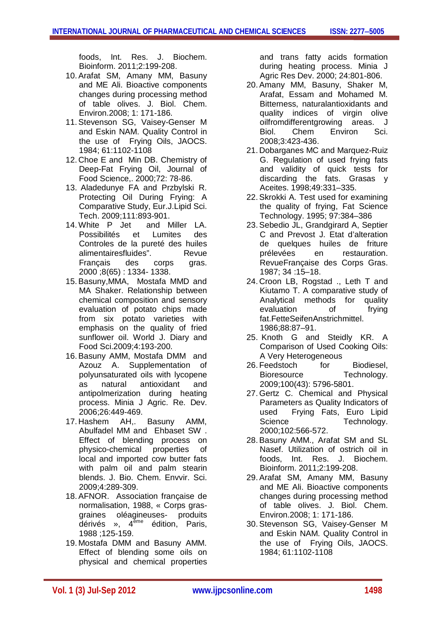foods, Int. Res. J. Biochem. Bioinform. 2011;2:199-208.

- 10.Arafat SM, Amany MM, Basuny and ME Ali. Bioactive components changes during processing method of table olives. J. Biol. Chem. Environ.2008; 1: 171-186.
- 11.Stevenson SG, Vaisey-Genser M and Eskin NAM. Quality Control in the use of Frying Oils, JAOCS. 1984; 61:1102-1108
- 12. Choe E and Min DB. Chemistry of Deep-Fat Frying Oil, Journal of Food Science,. 2000;72: 78-86.
- 13. Aladedunye FA and Przbylski R. Protecting Oil During Frying: A Comparative Study, Eur.J.Lipid Sci. Tech. 2009;111:893-901.
- 14. White P Jet and Miller LA. Possibilités et Lumites des Controles de la pureté des huiles alimentairesfluides". Revue Français des corps gras. 2000 ;8(65) : 1334- 1338.
- 15.Basuny,MMA, Mostafa MMD and MA Shaker. Relationship between chemical composition and sensory evaluation of potato chips made from six potato varieties with emphasis on the quality of fried sunflower oil. World J. Diary and Food Sci.2009;4:193-200.
- 16.Basuny AMM, Mostafa DMM and Azouz A. Supplementation of polyunsaturated oils with lycopene as natural antioxidant and antipolmerization during heating process. Minia J Agric. Re. Dev. 2006;26:449-469.
- 17. Hashem AH,. Basuny AMM, Abulfadel MM and Ehbaset SW . Effect of blending process on physico-chemical properties of local and imported cow butter fats with palm oil and palm stearin blends. J. Bio. Chem. Envvir. Sci. 2009;4:289-309.
- 18.AFNOR. Association française de normalisation, 1988, « Corps gras-<br>graines oléagineuses- produits graines oléagineusesdérivés », 4ème édition, Paris, 1988 ;125-159.
- 19. Mostafa DMM and Basuny AMM. Effect of blending some oils on physical and chemical properties

and trans fatty acids formation during heating process. Minia J Agric Res Dev. 2000; 24:801-806.

- 20.Amany MM, Basuny, Shaker M, Arafat, Essam and Mohamed M. Bitterness, naturalantioxidants and quality indices of virgin olive oilfromdifferentgrowing areas. J Biol. Chem Environ Sci. 2008;3:423-436.
- 21. Dobarganes MC and Marquez-Ruiz G. Regulation of used frying fats and validity of quick tests for discarding the fats. Grasas y Aceites. 1998;49:331–335.
- 22.Skrokki A. Test used for examining the quality of frying, Fat Science Technology. 1995; 97:384–386
- 23.Sebedio JL, Grandgirard A, Septier C and Prevost J. Etat d'alteration de quelques huiles de friture prélevées en restauration. RevueFrançaise des Corps Gras. 1987; 34 :15–18.
- 24. Croon LB, Rogstad ., Leth T and Kiutamo T. A comparative study of Analytical methods for quality evaluation of frying fat.FetteSeifenAnstrichmittel. 1986;88:87–91.
- 25. Knoth G and Steidly KR. A Comparison of Used Cooking Oils: A Very Heterogeneous
- 26. Feedstoch for Biodiesel, Bioresource Technology. 2009;100(43): 5796-5801.
- 27. Gertz C. Chemical and Physical Parameters as Quality Indicators of used Frying Fats, Euro Lipid Science Technology. 2000;102:566-572.
- 28.Basuny AMM., Arafat SM and SL Nasef. Utilization of ostrich oil in foods, Int. Res. J. Biochem. Bioinform. 2011;2:199-208.
- 29.Arafat SM, Amany MM, Basuny and ME Ali. Bioactive components changes during processing method of table olives. J. Biol. Chem. Environ.2008; 1: 171-186.
- 30.Stevenson SG, Vaisey-Genser M and Eskin NAM. Quality Control in the use of Frying Oils, JAOCS. 1984; 61:1102-1108